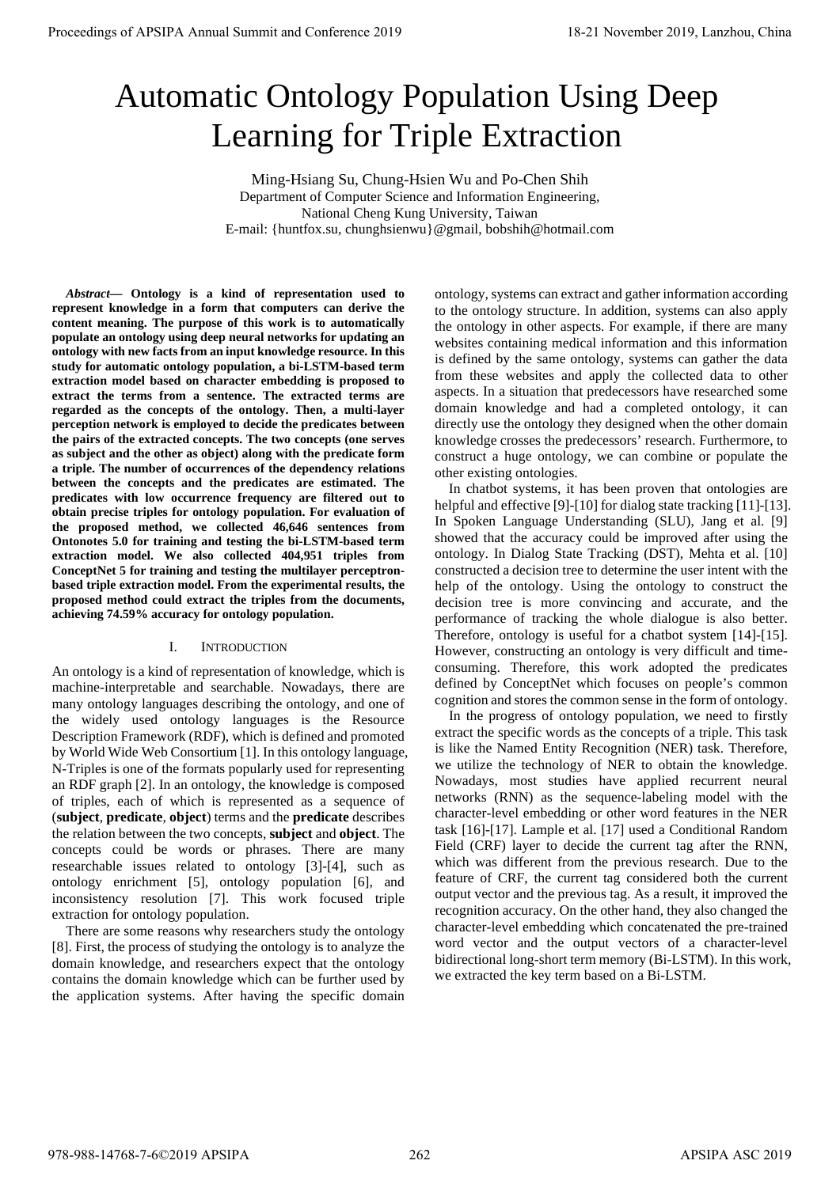# Automatic Ontology Population Using Deep Learning for Triple Extraction

Ming-Hsiang Su, Chung-Hsien Wu and Po-Chen Shih Department of Computer Science and Information Engineering, National Cheng Kung University, Taiwan E-mail: {huntfox.su, chunghsienwu}@gmail, bobshih@hotmail.com

*Abstract***— Ontology is a kind of representation used to represent knowledge in a form that computers can derive the content meaning. The purpose of this work is to automatically populate an ontology using deep neural networks for updating an ontology with new facts from an input knowledge resource. In this study for automatic ontology population, a bi-LSTM-based term extraction model based on character embedding is proposed to extract the terms from a sentence. The extracted terms are regarded as the concepts of the ontology. Then, a multi-layer perception network is employed to decide the predicates between the pairs of the extracted concepts. The two concepts (one serves as subject and the other as object) along with the predicate form a triple. The number of occurrences of the dependency relations between the concepts and the predicates are estimated. The predicates with low occurrence frequency are filtered out to obtain precise triples for ontology population. For evaluation of the proposed method, we collected 46,646 sentences from Ontonotes 5.0 for training and testing the bi-LSTM-based term extraction model. We also collected 404,951 triples from ConceptNet 5 for training and testing the multilayer perceptronbased triple extraction model. From the experimental results, the proposed method could extract the triples from the documents, achieving 74.59% accuracy for ontology population. Proceedings of APSIPA Annual Summit and Conference 2019**<br> **Automatic Control conference 2019**<br> **Automatic Conference 2019**<br> **Automatic Conference 2019**<br> **Canding for Triple Extraction**<br> **Canding for Triple Extraction**<br>

## I. INTRODUCTION

An ontology is a kind of representation of knowledge, which is machine-interpretable and searchable. Nowadays, there are many ontology languages describing the ontology, and one of the widely used ontology languages is the Resource Description Framework (RDF), which is defined and promoted by World Wide Web Consortium [1]. In this ontology language, N-Triples is one of the formats popularly used for representing an RDF graph [2]. In an ontology, the knowledge is composed of triples, each of which is represented as a sequence of (**subject**, **predicate**, **object**) terms and the **predicate** describes the relation between the two concepts, **subject** and **object**. The concepts could be words or phrases. There are many researchable issues related to ontology [3]-[4], such as ontology enrichment [5], ontology population [6], and inconsistency resolution [7]. This work focused triple extraction for ontology population.

There are some reasons why researchers study the ontology [8]. First, the process of studying the ontology is to analyze the domain knowledge, and researchers expect that the ontology contains the domain knowledge which can be further used by the application systems. After having the specific domain ontology, systems can extract and gather information according to the ontology structure. In addition, systems can also apply the ontology in other aspects. For example, if there are many websites containing medical information and this information is defined by the same ontology, systems can gather the data from these websites and apply the collected data to other aspects. In a situation that predecessors have researched some domain knowledge and had a completed ontology, it can directly use the ontology they designed when the other domain knowledge crosses the predecessors' research. Furthermore, to construct a huge ontology, we can combine or populate the other existing ontologies.

In chatbot systems, it has been proven that ontologies are helpful and effective [9]-[10] for dialog state tracking [11]-[13]. In Spoken Language Understanding (SLU), Jang et al. [9] showed that the accuracy could be improved after using the ontology. In Dialog State Tracking (DST), Mehta et al. [10] constructed a decision tree to determine the user intent with the help of the ontology. Using the ontology to construct the decision tree is more convincing and accurate, and the performance of tracking the whole dialogue is also better. Therefore, ontology is useful for a chatbot system [14]-[15]. However, constructing an ontology is very difficult and timeconsuming. Therefore, this work adopted the predicates defined by ConceptNet which focuses on people's common cognition and stores the common sense in the form of ontology.

In the progress of ontology population, we need to firstly extract the specific words as the concepts of a triple. This task is like the Named Entity Recognition (NER) task. Therefore, we utilize the technology of NER to obtain the knowledge. Nowadays, most studies have applied recurrent neural networks (RNN) as the sequence-labeling model with the character-level embedding or other word features in the NER task [16]-[17]. Lample et al. [17] used a Conditional Random Field (CRF) layer to decide the current tag after the RNN, which was different from the previous research. Due to the feature of CRF, the current tag considered both the current output vector and the previous tag. As a result, it improved the recognition accuracy. On the other hand, they also changed the character-level embedding which concatenated the pre-trained word vector and the output vectors of a character-level bidirectional long-short term memory (Bi-LSTM). In this work, we extracted the key term based on a Bi-LSTM.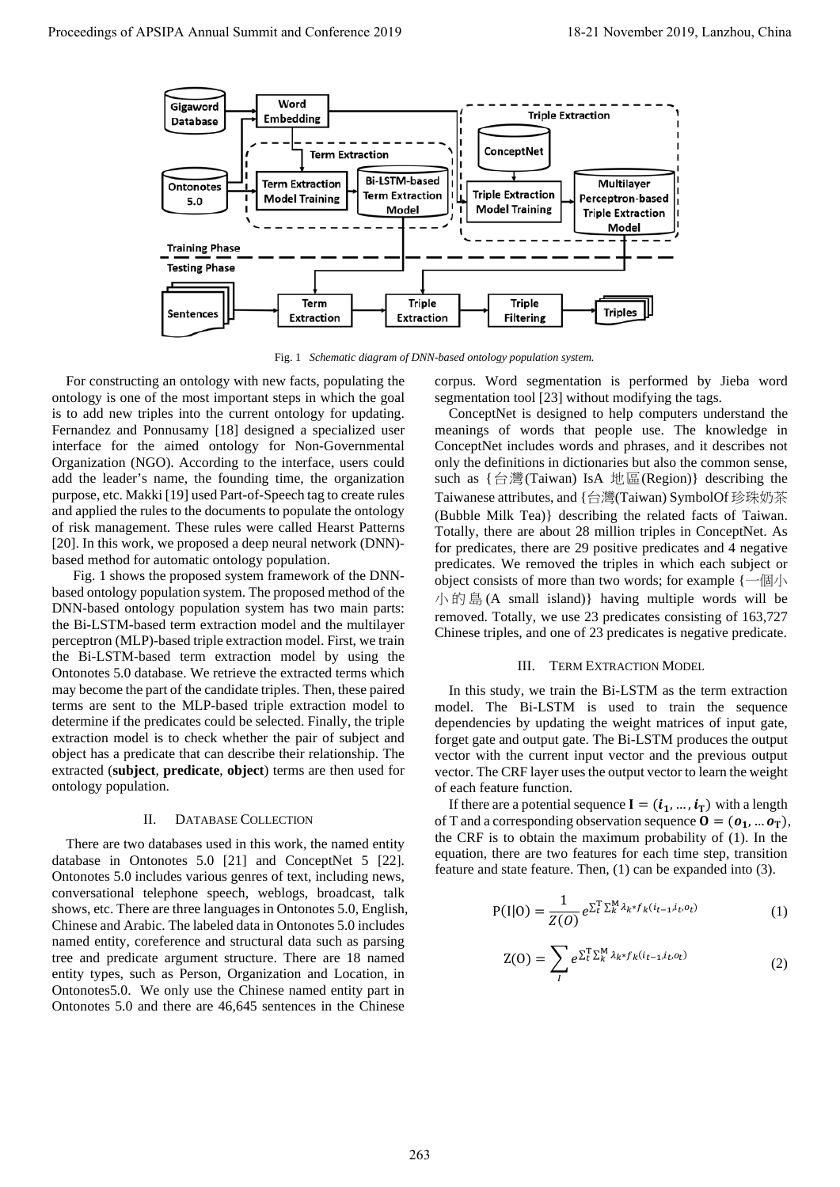

Fig. 1 *Schematic diagram of DNN-based ontology population system.*

For constructing an ontology with new facts, populating the ontology is one of the most important steps in which the goal is to add new triples into the current ontology for updating. Fernandez and Ponnusamy [\[18\]](#page-4-16) designed a specialized user interface for the aimed ontology for Non-Governmental Organization (NGO). According to the interface, users could add the leader's name, the founding time, the organization purpose, etc. Makk[i \[19\]](#page-4-17) used Part-of-Speech tag to create rules and applied the rules to the documents to populate the ontology of risk management. These rules were called Hearst Patterns [\[20\].](#page-4-18) In this work, we proposed a deep neural network (DNN) based method for automatic ontology population.

 Fig. 1 shows the proposed system framework of the DNNbased ontology population system. The proposed method of the DNN-based ontology population system has two main parts: the Bi-LSTM-based term extraction model and the multilayer perceptron (MLP)-based triple extraction model. First, we train the Bi-LSTM-based term extraction model by using the Ontonotes 5.0 database. We retrieve the extracted terms which may become the part of the candidate triples. Then, these paired terms are sent to the MLP-based triple extraction model to determine if the predicates could be selected. Finally, the triple extraction model is to check whether the pair of subject and object has a predicate that can describe their relationship. The extracted (**subject**, **predicate**, **object**) terms are then used for ontology population.

## II. DATABASE COLLECTION

There are two databases used in this work, the named entity database in Ontonotes 5.0 [\[21\]](#page-4-19) and ConceptNet 5 [\[22\].](#page-4-20)  Ontonotes 5.0 includes various genres of text, including news, conversational telephone speech, weblogs, broadcast, talk shows, etc. There are three languages in Ontonotes 5.0, English, Chinese and Arabic. The labeled data in Ontonotes 5.0 includes named entity, coreference and structural data such as parsing tree and predicate argument structure. There are 18 named entity types, such as Person, Organization and Location, in Ontonotes5.0. We only use the Chinese named entity part in Ontonotes 5.0 and there are 46,645 sentences in the Chinese

corpus. Word segmentation is performed by Jieba word segmentation tool [23] without modifying the tags.

ConceptNet is designed to help computers understand the meanings of words that people use. The knowledge in ConceptNet includes words and phrases, and it describes not only the definitions in dictionaries but also the common sense, such as {台灣(Taiwan) IsA 地區(Region)} describing the Taiwanese attributes, and {台灣(Taiwan) SymbolOf 珍珠奶茶 (Bubble Milk Tea)} describing the related facts of Taiwan. Totally, there are about 28 million triples in ConceptNet. As for predicates, there are 29 positive predicates and 4 negative predicates. We removed the triples in which each subject or object consists of more than two words; for example {一個小 小的島 (A small island)} having multiple words will be removed. Totally, we use 23 predicates consisting of 163,727 Chinese triples, and one of 23 predicates is negative predicate.

#### III. TERM EXTRACTION MODEL

In this study, we train the Bi-LSTM as the term extraction model. The Bi-LSTM is used to train the sequence dependencies by updating the weight matrices of input gate, forget gate and output gate. The Bi-LSTM produces the output vector with the current input vector and the previous output vector. The CRF layer uses the output vector to learn the weight of each feature function.

If there are a potential sequence  $I = (i_1, ..., i_T)$  with a length of T and a corresponding observation sequence  $\mathbf{0} = (\mathbf{o}_1, \dots \mathbf{o}_T),$ the CRF is to obtain the maximum probability of (1). In the equation, there are two features for each time step, transition feature and state feature. Then, (1) can be expanded into (3).

$$
P(I|O) = \frac{1}{Z(O)} e^{\sum_{t}^{T} \sum_{k}^{M} \lambda_{k} * f_{k}(i_{t-1}, i_{t}, o_{t})}
$$
(1)

$$
Z(0) = \sum_{l} e^{\sum_{t}^{T} \sum_{k}^{M} \lambda_{k} * f_{k}(i_{t-1}, i_{t}, o_{t})}
$$
(2)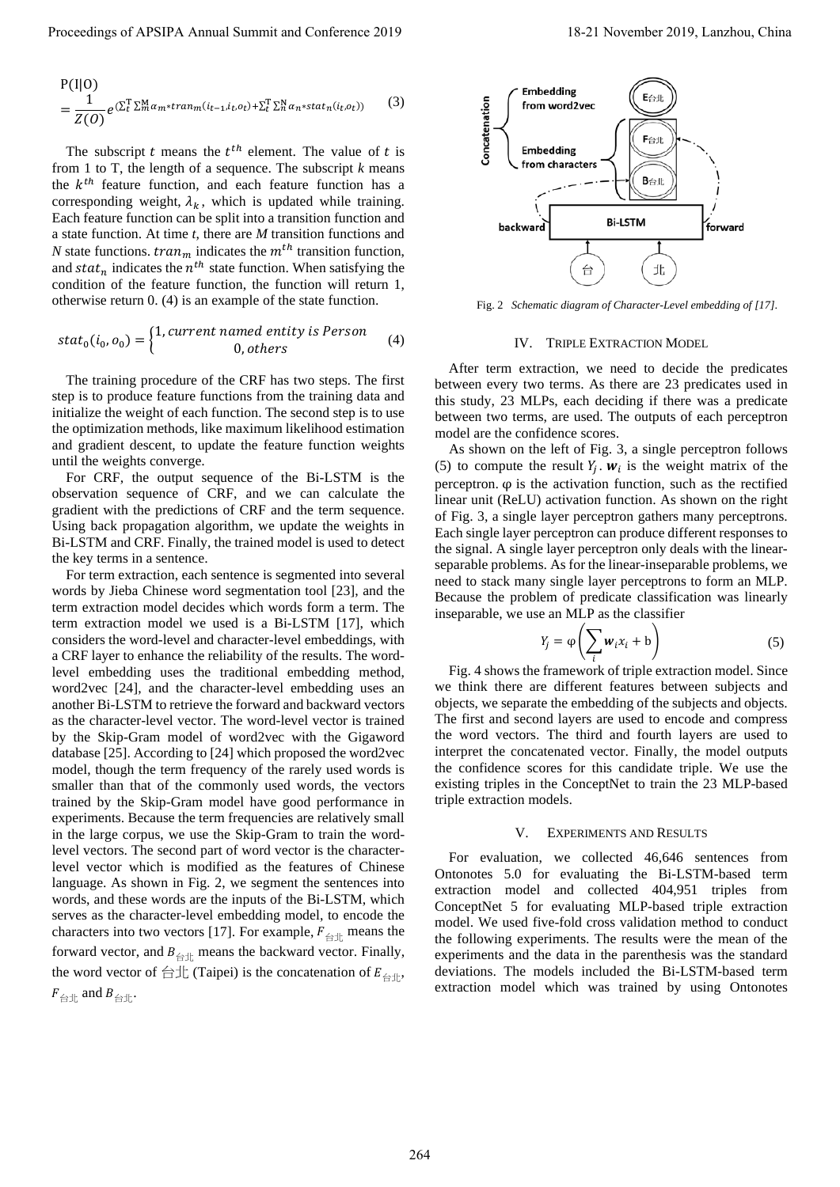$$
P(I|O)
$$
  
= 
$$
\frac{1}{Z(O)} e^{(\sum_{t}^{T} \sum_{m}^{M} \alpha_{m} * tran_{m}(i_{t-1}, i_{t}, o_{t}) + \sum_{t}^{T} \sum_{n}^{N} \alpha_{n} * stat_{n}(i_{t}, o_{t}))}
$$
 (3)

The subscript  $t$  means the  $t^{th}$  element. The value of  $t$  is from 1 to T, the length of a sequence. The subscript *k* means the  $k^{th}$  feature function, and each feature function has a corresponding weight,  $\lambda_k$ , which is updated while training. Each feature function can be split into a transition function and a state function. At time *t*, there are *M* transition functions and *N* state functions.  $tran_m$  indicates the  $m^{th}$  transition function, and  $stat_n$  indicates the  $n^{th}$  state function. When satisfying the condition of the feature function, the function will return 1, otherwise return 0. (4) is an example of the state function.

$$
stat_0(i_0, o_0) = \begin{cases} 1, current \text{ named entity is Person} \\ 0, others \end{cases} \tag{4}
$$

The training procedure of the CRF has two steps. The first step is to produce feature functions from the training data and initialize the weight of each function. The second step is to use the optimization methods, like maximum likelihood estimation and gradient descent, to update the feature function weights until the weights converge.

For CRF, the output sequence of the Bi-LSTM is the observation sequence of CRF, and we can calculate the gradient with the predictions of CRF and the term sequence. Using back propagation algorithm, we update the weights in Bi-LSTM and CRF. Finally, the trained model is used to detect the key terms in a sentence.

For term extraction, each sentence is segmented into several words by Jieba Chinese word segmentation tool [\[23\],](#page-4-21) and the term extraction model decides which words form a term. The term extraction model we used is a Bi-LSTM [\[17\],](#page-4-15) which considers the word-level and character-level embeddings, with a CRF layer to enhance the reliability of the results. The wordlevel embedding uses the traditional embedding method, word2vec [\[24\],](#page-4-22) and the character-level embedding uses an another Bi-LSTM to retrieve the forward and backward vectors as the character-level vector. The word-level vector is trained by the Skip-Gram model of word2vec with the Gigaword databas[e \[25\].](#page-4-23) According to [\[24\]](#page-4-22) which proposed the word2vec model, though the term frequency of the rarely used words is smaller than that of the commonly used words, the vectors trained by the Skip-Gram model have good performance in experiments. Because the term frequencies are relatively small in the large corpus, we use the Skip-Gram to train the wordlevel vectors. The second part of word vector is the characterlevel vector which is modified as the features of Chinese language. As shown in Fig. 2, we segment the sentences into words, and these words are the inputs of the Bi-LSTM, which serves as the character-level embedding model, to encode the characters into two vectors [\[17\].](#page-4-15) For example,  $F_{\text{int}}$  means the forward vector, and  $B_{\text{int}}$  means the backward vector. Finally, the word vector of  $\triangleq \pm \text{Tr}(\text{Taipei})$  is the concatenation of  $E_{\triangleq \pm}$ ,  $F_{\trianglelefteq \pm}$  and  $B_{\trianglelefteq \pm}$ . Proceeding of APSIPA Annual Summit and Conference 2019<br>
Proceedings of APSIPA Annual Summit and Conference 2019<br>
The subset of Annual Summit and Conference 2019<br>
Conference 2019, A set also as a conference 2019 of the sub



Fig. 2 *Schematic diagram of Character-Level embedding of [17]*.

#### IV. TRIPLE EXTRACTION MODEL

After term extraction, we need to decide the predicates between every two terms. As there are 23 predicates used in this study, 23 MLPs, each deciding if there was a predicate between two terms, are used. The outputs of each perceptron model are the confidence scores.

As shown on the left of Fig. 3, a single perceptron follows (5) to compute the result  $Y_i$ .  $W_i$  is the weight matrix of the perceptron. φ is the activation function, such as the rectified linear unit (ReLU) activation function. As shown on the right of Fig. 3, a single layer perceptron gathers many perceptrons. Each single layer perceptron can produce different responses to the signal. A single layer perceptron only deals with the linearseparable problems. As for the linear-inseparable problems, we need to stack many single layer perceptrons to form an MLP. Because the problem of predicate classification was linearly inseparable, we use an MLP as the classifier

$$
Y_j = \varphi\left(\sum_i w_i x_i + b\right) \tag{5}
$$

Fig. 4 shows the framework of triple extraction model. Since we think there are different features between subjects and objects, we separate the embedding of the subjects and objects. The first and second layers are used to encode and compress the word vectors. The third and fourth layers are used to interpret the concatenated vector. Finally, the model outputs the confidence scores for this candidate triple. We use the existing triples in the ConceptNet to train the 23 MLP-based triple extraction models.

#### V. EXPERIMENTS AND RESULTS

For evaluation, we collected 46,646 sentences from Ontonotes 5.0 for evaluating the Bi-LSTM-based term extraction model and collected 404,951 triples from ConceptNet 5 for evaluating MLP-based triple extraction model. We used five-fold cross validation method to conduct the following experiments. The results were the mean of the experiments and the data in the parenthesis was the standard deviations. The models included the Bi-LSTM-based term extraction model which was trained by using Ontonotes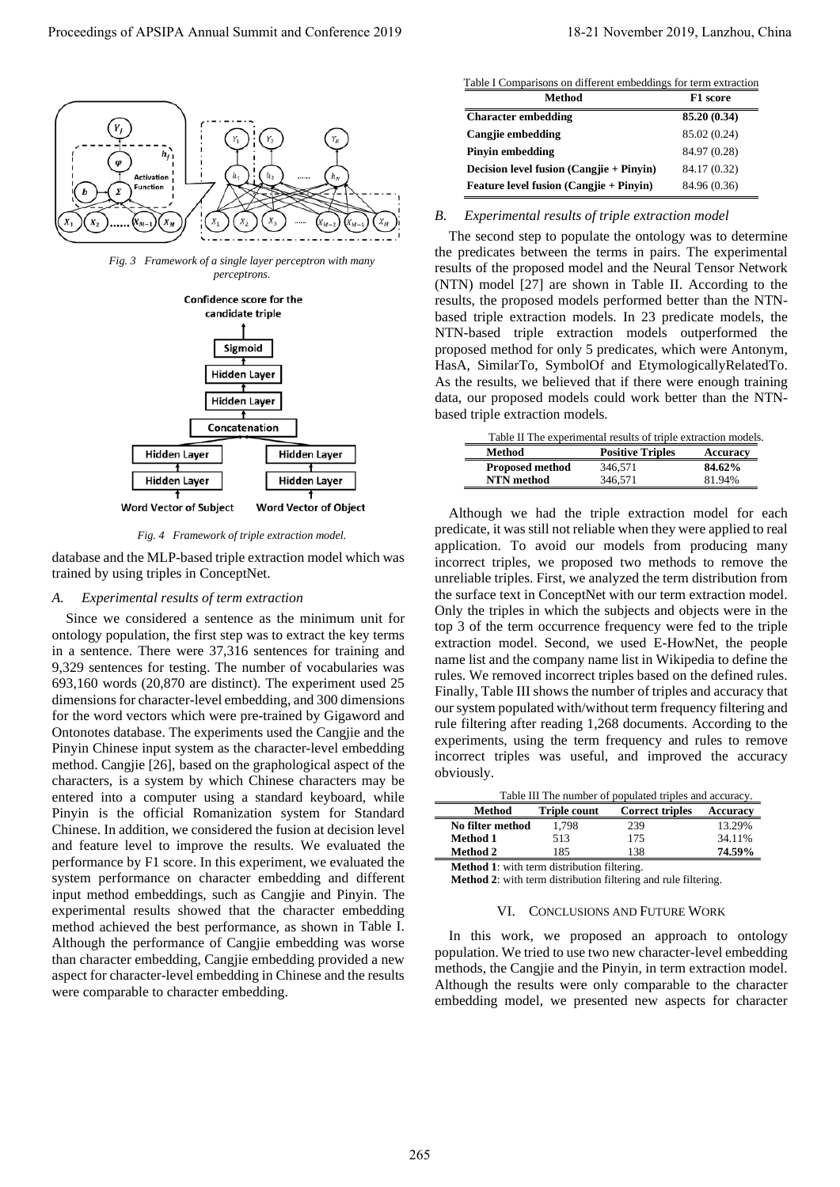

*Fig. 3 Framework of a single layer perceptron with many perceptrons.*



*Fig. 4 Framework of triple extraction model.*

database and the MLP-based triple extraction model which was trained by using triples in ConceptNet.

# *A. Experimental results of term extraction*

Since we considered a sentence as the minimum unit for ontology population, the first step was to extract the key terms in a sentence. There were 37,316 sentences for training and 9,329 sentences for testing. The number of vocabularies was 693,160 words (20,870 are distinct). The experiment used 25 dimensions for character-level embedding, and 300 dimensions for the word vectors which were pre-trained by Gigaword and Ontonotes database. The experiments used the Cangjie and the Pinyin Chinese input system as the character-level embedding method. Cangjie [\[26\],](#page-4-24) based on the graphological aspect of the characters, is a system by which Chinese characters may be entered into a computer using a standard keyboard, while Pinyin is the official Romanization system for Standard Chinese. In addition, we considered the fusion at decision level and feature level to improve the results. We evaluated the performance by F1 score. In this experiment, we evaluated the system performance on character embedding and different input method embeddings, such as Cangjie and Pinyin. The experimental results showed that the character embedding method achieved the best performance, as shown in [Table I.](#page-3-0)  Although the performance of Cangjie embedding was worse than character embedding, Cangjie embedding provided a new aspect for character-level embedding in Chinese and the results were comparable to character embedding. Proceedings of APSIPA Annual Summit and Conference 2019<br>
Context annual Summit and Summit and Summit and Summit and Summit and Summit and Summit and Summit and Conference 2019<br>
Conference 2019 18-21 November 2019 18-21 No

Table I Comparisons on different embeddings for term extraction

<span id="page-3-0"></span>

| <b>Method</b>                            | F1 score     |
|------------------------------------------|--------------|
| <b>Character embedding</b>               | 85.20 (0.34) |
| Cangjie embedding                        | 85.02 (0.24) |
| Pinyin embedding                         | 84.97 (0.28) |
| Decision level fusion (Cangiie + Pinyin) | 84.17 (0.32) |
| Feature level fusion (Cangjie + Pinyin)  | 84.96 (0.36) |

# *B. Experimental results of triple extraction model*

The second step to populate the ontology was to determine the predicates between the terms in pairs. The experimental results of the proposed model and the Neural Tensor Network (NTN) model [27] are shown in Table II. According to the results, the proposed models performed better than the NTNbased triple extraction models. In 23 predicate models, the NTN-based triple extraction models outperformed the proposed method for only 5 predicates, which were Antonym, HasA, SimilarTo, SymbolOf and EtymologicallyRelatedTo. As the results, we believed that if there were enough training data, our proposed models could work better than the NTNbased triple extraction models.

<span id="page-3-1"></span>

| Table II The experimental results of triple extraction models. |                         |                 |  |  |  |
|----------------------------------------------------------------|-------------------------|-----------------|--|--|--|
| Method                                                         | <b>Positive Triples</b> | <b>Accuracy</b> |  |  |  |
| <b>Proposed method</b>                                         | 346.571                 | 84.62%          |  |  |  |
| <b>NTN</b> method                                              | 346.571                 | 81.94%          |  |  |  |

Although we had the triple extraction model for each predicate, it was still not reliable when they were applied to real application. To avoid our models from producing many incorrect triples, we proposed two methods to remove the unreliable triples. First, we analyzed the term distribution from the surface text in ConceptNet with our term extraction model. Only the triples in which the subjects and objects were in the top 3 of the term occurrence frequency were fed to the triple extraction model. Second, we used E-HowNet, the people name list and the company name list in Wikipedia to define the rules. We removed incorrect triples based on the defined rules. Finally, Table III shows the number of triples and accuracy that our system populated with/without term frequency filtering and rule filtering after reading 1,268 documents. According to the experiments, using the term frequency and rules to remove incorrect triples was useful, and improved the accuracy obviously.

<span id="page-3-2"></span>

| Table III The number of populated triples and accuracy. |                    |                     |                        |                 |  |
|---------------------------------------------------------|--------------------|---------------------|------------------------|-----------------|--|
|                                                         | Method             | <b>Triple count</b> | <b>Correct triples</b> | <b>Accuracy</b> |  |
|                                                         | No filter method   | 1.798               | 239                    | 13.29%          |  |
|                                                         | <b>Method 1</b>    | 513                 | 175                    | 34.11%          |  |
|                                                         | <b>Method 2</b>    | 185                 | 138                    | 74.59%          |  |
|                                                         | ,,,,,,<br>$\cdots$ | $\mathbf{1}$        | $\sim$ 1. $\sim$       |                 |  |

**Method 1**: with term distribution filtering.

**Method 2**: with term distribution filtering and rule filtering.

## VI. CONCLUSIONS AND FUTURE WORK

In this work, we proposed an approach to ontology population. We tried to use two new character-level embedding methods, the Cangjie and the Pinyin, in term extraction model. Although the results were only comparable to the character embedding model, we presented new aspects for character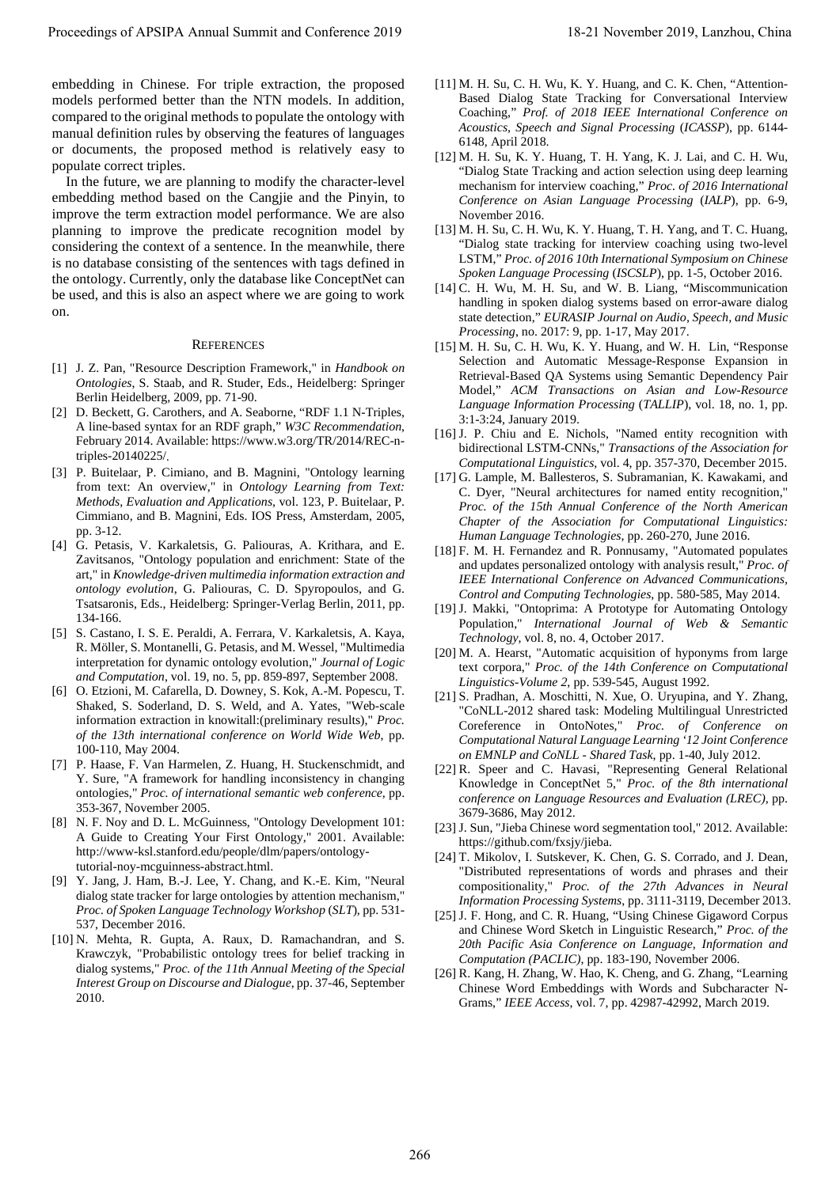embedding in Chinese. For triple extraction, the proposed models performed better than the NTN models. In addition, compared to the original methods to populate the ontology with manual definition rules by observing the features of languages or documents, the proposed method is relatively easy to populate correct triples.

In the future, we are planning to modify the character-level embedding method based on the Cangjie and the Pinyin, to improve the term extraction model performance. We are also planning to improve the predicate recognition model by considering the context of a sentence. In the meanwhile, there is no database consisting of the sentences with tags defined in the ontology. Currently, only the database like ConceptNet can be used, and this is also an aspect where we are going to work on. Proceeding of APSIPA Annual Summit and Conference 2019 18-21 November 2019, Lanzhou, China 266 Lanzhou, China 266 Lanzhou, China 266 Lanzhou, China 266 Lanzhou, China 266 Lanzhou, China 266 Lanzhou, China 266 Lanzhou, Chi

### **REFERENCES**

- <span id="page-4-0"></span>[1] J. Z. Pan, "Resource Description Framework," in *Handbook on Ontologies*, S. Staab, and R. Studer, Eds., Heidelberg: Springer Berlin Heidelberg, 2009, pp. 71-90.
- <span id="page-4-1"></span>[2] D. Beckett, G. Carothers, and A. Seaborne, "RDF 1.1 N-Triples, A line-based syntax for an RDF graph," *W3C Recommendation*, February 2014. Available: https://www.w3.org/TR/2014/REC-ntriples-20140225/.
- <span id="page-4-2"></span>[3] P. Buitelaar, P. Cimiano, and B. Magnini, "Ontology learning from text: An overview," in *Ontology Learning from Text: Methods, Evaluation and Applications*, vol. 123, P. Buitelaar, P. Cimmiano, and B. Magnini, Eds. IOS Press, Amsterdam, 2005, pp. 3-12.
- <span id="page-4-3"></span>[4] G. Petasis, V. Karkaletsis, G. Paliouras, A. Krithara, and E. Zavitsanos, "Ontology population and enrichment: State of the art," in *Knowledge-driven multimedia information extraction and ontology evolution*, G. Paliouras, C. D. Spyropoulos, and G. Tsatsaronis, Eds., Heidelberg: Springer-Verlag Berlin, 2011, pp. 134-166.
- <span id="page-4-4"></span>[5] S. Castano, I. S. E. Peraldi, A. Ferrara, V. Karkaletsis, A. Kaya, R. Möller, S. Montanelli, G. Petasis, and M. Wessel, "Multimedia interpretation for dynamic ontology evolution," *Journal of Logic and Computation*, vol. 19, no. 5, pp. 859-897, September 2008.
- <span id="page-4-5"></span>[6] O. Etzioni, M. Cafarella, D. Downey, S. Kok, A.-M. Popescu, T. Shaked, S. Soderland, D. S. Weld, and A. Yates, "Web-scale information extraction in knowitall:(preliminary results)," *Proc. of the 13th international conference on World Wide Web*, pp. 100-110, May 2004.
- <span id="page-4-6"></span>[7] P. Haase, F. Van Harmelen, Z. Huang, H. Stuckenschmidt, and Y. Sure, "A framework for handling inconsistency in changing ontologies," *Proc. of international semantic web conference*, pp. 353-367, November 2005.
- <span id="page-4-7"></span>[8] N. F. Noy and D. L. McGuinness, "Ontology Development 101: A Guide to Creating Your First Ontology," 2001. Available: http://www-ksl.stanford.edu/people/dlm/papers/ontologytutorial-noy-mcguinness-abstract.html.
- <span id="page-4-8"></span>[9] Y. Jang, J. Ham, B.-J. Lee, Y. Chang, and K.-E. Kim, "Neural dialog state tracker for large ontologies by attention mechanism," *Proc. of Spoken Language Technology Workshop* (*SLT*), pp. 531- 537, December 2016.
- <span id="page-4-9"></span>[10] N. Mehta, R. Gupta, A. Raux, D. Ramachandran, and S. Krawczyk, "Probabilistic ontology trees for belief tracking in dialog systems," *Proc. of the 11th Annual Meeting of the Special Interest Group on Discourse and Dialogue*, pp. 37-46, September 2010.
- <span id="page-4-10"></span>[11] M. H. Su, C. H. Wu, K. Y. Huang, and C. K. Chen, "Attention-Based Dialog State Tracking for Conversational Interview Coaching," *Prof. of 2018 IEEE International Conference on Acoustics, Speech and Signal Processing* (*ICASSP*), pp. 6144- 6148, April 2018.
- [12] M. H. Su, K. Y. Huang, T. H. Yang, K. J. Lai, and C. H. Wu, "Dialog State Tracking and action selection using deep learning mechanism for interview coaching," *Proc. of 2016 International Conference on Asian Language Processing* (*IALP*), pp. 6-9, November 2016.
- <span id="page-4-11"></span>[13] M. H. Su, C. H. Wu, K. Y. Huang, T. H. Yang, and T. C. Huang, "Dialog state tracking for interview coaching using two-level LSTM," *Proc. of 2016 10th International Symposium on Chinese Spoken Language Processing* (*ISCSLP*), pp. 1-5, October 2016.
- <span id="page-4-12"></span>[14] C. H. Wu, M. H. Su, and W. B. Liang, "Miscommunication handling in spoken dialog systems based on error-aware dialog state detection," *EURASIP Journal on Audio, Speech, and Music Processing*, no. 2017: 9, pp. 1-17, May 2017.
- <span id="page-4-13"></span>[15] M. H. Su, C. H. Wu, K. Y. Huang, and W. H. Lin, "Response Selection and Automatic Message-Response Expansion in Retrieval-Based QA Systems using Semantic Dependency Pair Model," *ACM Transactions on Asian and Low-Resource Language Information Processing* (*TALLIP*), vol. 18, no. 1, pp. 3:1-3:24, January 2019.
- <span id="page-4-14"></span>[16] J. P. Chiu and E. Nichols, "Named entity recognition with bidirectional LSTM-CNNs," *Transactions of the Association for Computational Linguistics*, vol. 4, pp. 357-370, December 2015.
- <span id="page-4-15"></span>[17] G. Lample, M. Ballesteros, S. Subramanian, K. Kawakami, and C. Dyer, "Neural architectures for named entity recognition," *Proc. of the 15th Annual Conference of the North American Chapter of the Association for Computational Linguistics: Human Language Technologies*, pp. 260-270, June 2016.
- <span id="page-4-16"></span>[18] F. M. H. Fernandez and R. Ponnusamy, "Automated populates and updates personalized ontology with analysis result," *Proc. of IEEE International Conference on Advanced Communications, Control and Computing Technologies*, pp. 580-585, May 2014.
- <span id="page-4-17"></span>[19] J. Makki, "Ontoprima: A Prototype for Automating Ontology Population," *International Journal of Web & Semantic Technology*, vol. 8, no. 4, October 2017.
- <span id="page-4-18"></span>[20] M. A. Hearst, "Automatic acquisition of hyponyms from large text corpora," *Proc. of the 14th Conference on Computational Linguistics-Volume 2*, pp. 539-545, August 1992.
- <span id="page-4-19"></span>[21] S. Pradhan, A. Moschitti, N. Xue, O. Uryupina, and Y. Zhang, "CoNLL-2012 shared task: Modeling Multilingual Unrestricted Coreference in OntoNotes," *Proc. of Conference on Computational Natural Language Learning '12 Joint Conference on EMNLP and CoNLL - Shared Task*, pp. 1-40, July 2012.
- <span id="page-4-20"></span>[22] R. Speer and C. Havasi, "Representing General Relational Knowledge in ConceptNet 5," *Proc. of the 8th international conference on Language Resources and Evaluation (LREC)*, pp. 3679-3686, May 2012.
- <span id="page-4-21"></span>[23] J. Sun, "Jieba Chinese word segmentation tool," 2012. Available: https://github.com/fxsjy/jieba.
- <span id="page-4-22"></span>[24] T. Mikolov, I. Sutskever, K. Chen, G. S. Corrado, and J. Dean, "Distributed representations of words and phrases and their compositionality," *Proc. of the 27th Advances in Neural Information Processing Systems*, pp. 3111-3119, December 2013.
- <span id="page-4-23"></span>[25] J. F. Hong, and C. R. Huang, "Using Chinese Gigaword Corpus and Chinese Word Sketch in Linguistic Research," *Proc. of the 20th Pacific Asia Conference on Language, Information and Computation (PACLIC)*, pp. 183-190, November 2006.
- <span id="page-4-24"></span>[26] R. Kang, H. Zhang, W. Hao, K. Cheng, and G. Zhang, "Learning Chinese Word Embeddings with Words and Subcharacter N-Grams," *IEEE Access*, vol. 7, pp. 42987-42992, March 2019.